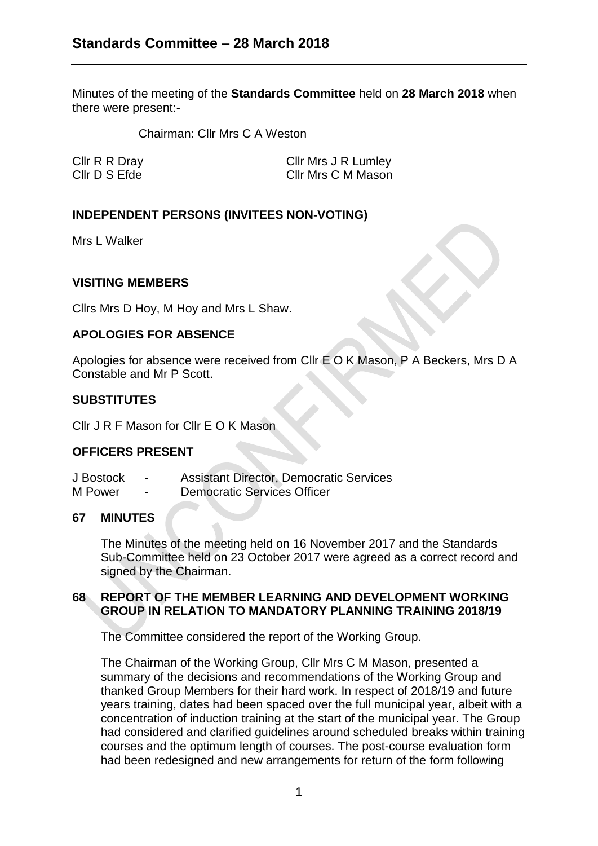Minutes of the meeting of the **Standards Committee** held on **28 March 2018** when there were present:-

Chairman: Cllr Mrs C A Weston

Cllr R R Dray Cllr Mrs J R Lumley Cllr D S Efde Cllr Mrs C M Mason

# **INDEPENDENT PERSONS (INVITEES NON-VOTING)**

Mrs L Walker

## **VISITING MEMBERS**

Cllrs Mrs D Hoy, M Hoy and Mrs L Shaw.

### **APOLOGIES FOR ABSENCE**

Apologies for absence were received from Cllr E O K Mason, P A Beckers, Mrs D A Constable and Mr P Scott.

### **SUBSTITUTES**

Cllr J R F Mason for Cllr E O K Mason

## **OFFICERS PRESENT**

J Bostock - Assistant Director, Democratic Services M Power - Democratic Services Officer

## **67 MINUTES**

The Minutes of the meeting held on 16 November 2017 and the Standards Sub-Committee held on 23 October 2017 were agreed as a correct record and signed by the Chairman.

## **68 REPORT OF THE MEMBER LEARNING AND DEVELOPMENT WORKING GROUP IN RELATION TO MANDATORY PLANNING TRAINING 2018/19**

The Committee considered the report of the Working Group.

The Chairman of the Working Group, Cllr Mrs C M Mason, presented a summary of the decisions and recommendations of the Working Group and thanked Group Members for their hard work. In respect of 2018/19 and future years training, dates had been spaced over the full municipal year, albeit with a concentration of induction training at the start of the municipal year. The Group had considered and clarified guidelines around scheduled breaks within training courses and the optimum length of courses. The post-course evaluation form had been redesigned and new arrangements for return of the form following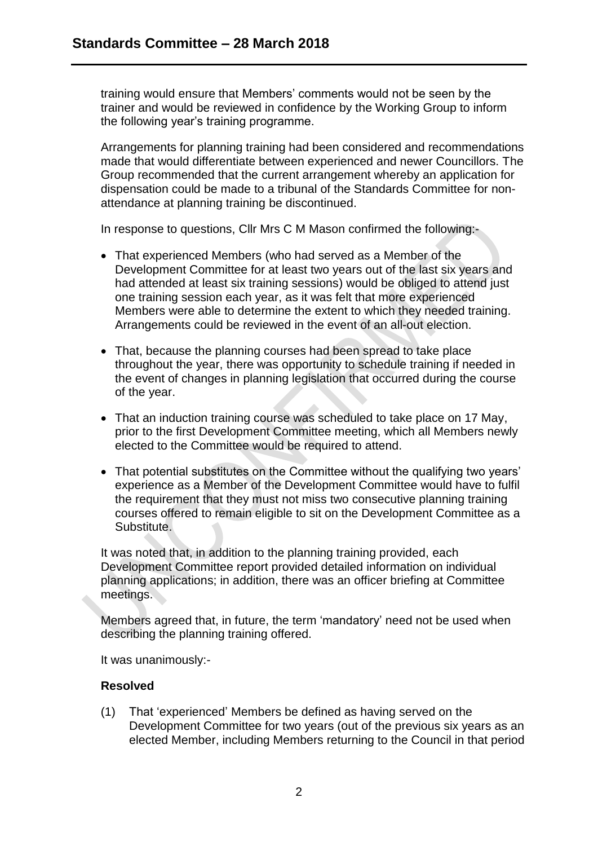training would ensure that Members' comments would not be seen by the trainer and would be reviewed in confidence by the Working Group to inform the following year's training programme.

Arrangements for planning training had been considered and recommendations made that would differentiate between experienced and newer Councillors. The Group recommended that the current arrangement whereby an application for dispensation could be made to a tribunal of the Standards Committee for nonattendance at planning training be discontinued.

In response to questions, Cllr Mrs C M Mason confirmed the following:-

- That experienced Members (who had served as a Member of the Development Committee for at least two years out of the last six years and had attended at least six training sessions) would be obliged to attend just one training session each year, as it was felt that more experienced Members were able to determine the extent to which they needed training. Arrangements could be reviewed in the event of an all-out election.
- That, because the planning courses had been spread to take place throughout the year, there was opportunity to schedule training if needed in the event of changes in planning legislation that occurred during the course of the year.
- That an induction training course was scheduled to take place on 17 May, prior to the first Development Committee meeting, which all Members newly elected to the Committee would be required to attend.
- That potential substitutes on the Committee without the qualifying two years' experience as a Member of the Development Committee would have to fulfil the requirement that they must not miss two consecutive planning training courses offered to remain eligible to sit on the Development Committee as a Substitute.

It was noted that, in addition to the planning training provided, each Development Committee report provided detailed information on individual planning applications; in addition, there was an officer briefing at Committee meetings.

Members agreed that, in future, the term 'mandatory' need not be used when describing the planning training offered.

It was unanimously:-

## **Resolved**

(1) That 'experienced' Members be defined as having served on the Development Committee for two years (out of the previous six years as an elected Member, including Members returning to the Council in that period